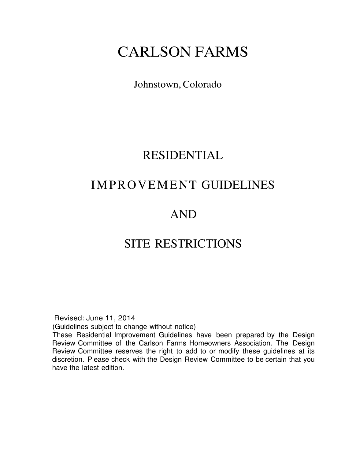# CARLSON FARMS

### Johnstown, Colorado

### RESIDENTIAL

# IMPROVEMENT GUIDELINES

# AND

## SITE RESTRICTIONS

Revised: June 11, 2014

(Guidelines subject to change without notice)

These Residential Improvement Guidelines have been prepared by the Design Review Committee of the Carlson Farms Homeowners Association. The Design Review Committee reserves the right to add to or modify these guidelines at its discretion. Please check with the Design Review Committee to be certain that you have the latest edition.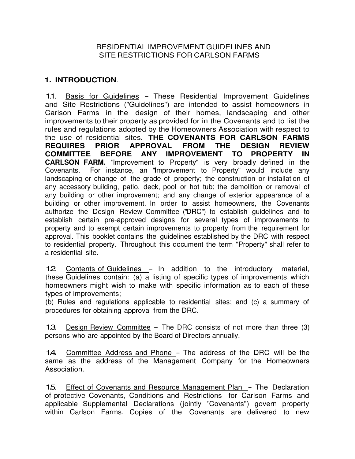#### RESIDENTIAL IMPROVEMENT GUIDELINES AND SITE RESTRICTIONS FOR CARLSON FARMS

#### **1. INTRODUCTION**.

1.1. Basis for Guidelines - These Residential Improvement Guidelines and Site Restrictions ("Guidelines") are intended to assist homeowners in Carlson Farms in the design of their homes, landscaping and other improvements to their property as provided for in the Covenants and to list the rules and regulations adopted by the Homeowners Association with respect to the use of residential sites. **THE COVENANTS FOR CARLSON FARMS REQUIRES PRIOR APPROVAL FROM THE DESIGN REVIEW COMMITTEE BEFORE ANY IMPROVEMENT TO PROPERTY IN CARLSON FARM.** "Improvement to Property" is very broadly defined in the Covenants. For instance, an "Improvement to Property" would include any landscaping or change of the grade of property; the construction or installation of any accessory building, patio, deck, pool or hot tub; the demolition or removal of any building or other improvement; and any change of exterior appearance of a building or other improvement. In order to assist homeowners, the Covenants authorize the Design Review Committee ("DRC") to establish guidelines and to establish certain pre-approved designs for several types of improvements to property and to exempt certain improvements to property from the requirement for approval. This booklet contains the guidelines established by the DRC with respect to residential property. Throughout this document the term "Property" shall refer to a residential site.

12 Contents of Guidelines - In addition to the introductory material, these Guidelines contain: (a) a listing of specific types of improvements which homeowners might wish to make with specific information as to each of these types of improvements;

(b) Rules and regulations applicable to residential sites; and (c) a summary of procedures for obtaining approval from the DRC.

1.3. Design Review Committee – The DRC consists of not more than three (3) persons who are appointed by the Board of Directors annually.

1.4. Committee Address and Phone - The address of the DRC will be the same as the address of the Management Company for the Homeowners Association.

1.5. Effect of Covenants and Resource Management Plan - The Declaration of protective Covenants, Conditions and Restrictions for Carlson Farms and applicable Supplemental Declarations (jointly "Covenants") govern property within Carlson Farms. Copies of the Covenants are delivered to new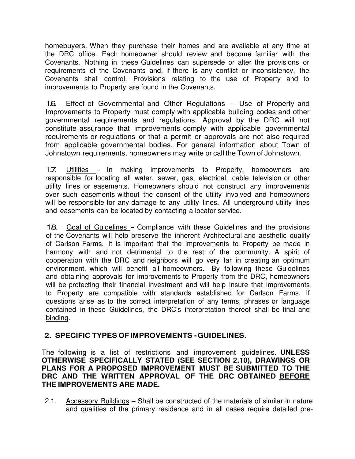homebuyers. When they purchase their homes and are available at any time at the DRC office. Each homeowner should review and become familiar with the Covenants. Nothing in these Guidelines can supersede or alter the provisions or requirements of the Covenants and, if there is any conflict or inconsistency, the Covenants shall control. Provisions relating to the use of Property and to improvements to Property are found in the Covenants.

1.6. Effect of Governmental and Other Regulations - Use of Property and Improvements to Property must comply with applicable building codes and other governmental requirements and regulations. Approval by the DRC will not constitute assurance that improvements comply with applicable governmental requirements or regulations or that a permit or approvals are not also required from applicable governmental bodies. For general information about Town of Johnstown requirements, homeowners may write or call the Town of Johnstown.

1.7. Utilities - In making improvements to Property, homeowners are responsible for locating all water, sewer, gas, electrical, cable television or other utility lines or easements. Homeowners should not construct any improvements over such easements without the consent of the utility involved and homeowners will be responsible for any damage to any utility lines. All underground utility lines and easements can be located by contacting a locator service.

1.8. Goal of Guidelines - Compliance with these Guidelines and the provisions of the Covenants will help preserve the inherent Architectural and aesthetic quality of Carlson Farms. It is important that the improvements to Property be made in harmony with and not detrimental to the rest of the community. A spirit of cooperation with the DRC and neighbors will go very far in creating an optimum environment, which will benefit all homeowners. By following these Guidelines and obtaining approvals for improvements to Property from the DRC, homeowners will be protecting their financial investment and will help insure that improvements to Property are compatible with standards established for Carlson Farms. If questions arise as to the correct interpretation of any terms, phrases or language contained in these Guidelines, the DRC's interpretation thereof shall be final and binding.

#### **2. SPECIFIC TYPES OF IMPROVEMENTS - GUIDELINES**.

The following is a list of restrictions and improvement guidelines. **UNLESS OTHERWISE SPECIFICALLY STATED (SEE SECTION 2.10), DRAWINGS OR PLANS FOR A PROPOSED IMPROVEMENT MUST BE SUBMITTED TO THE DRC AND THE WRITTEN APPROVAL OF THE DRC OBTAINED BEFORE THE IMPROVEMENTS ARE MADE.** 

2.1. Accessory Buildings – Shall be constructed of the materials of similar in nature and qualities of the primary residence and in all cases require detailed pre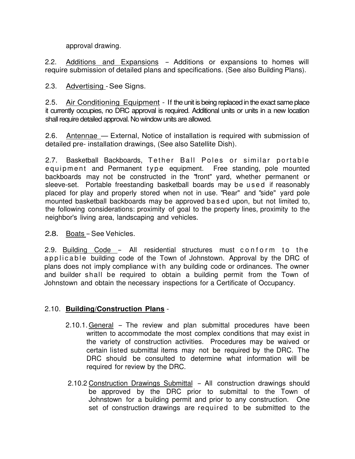approval drawing.

2.2. Additions and Expansions – Additions or expansions to homes will require submission of detailed plans and specifications. (See also Building Plans).

2.3. Advertising - See Signs.

2.5. Air Conditioning Equipment - If the unit is being replaced in the exact same place it currently occupies, no DRC approval is required. Additional units or units in a new location shall require detailed approval. No window units are allowed.

2.6. Antennae – External, Notice of installation is required with submission of detailed pre- installation drawings, (See also Satellite Dish).

2.7. Basketball Backboards, Tether Ball Poles or similar portable e quipment and Permanent type equipment. Free standing, pole mounted backboards may not be constructed in the "front" yard, whether permanent or sleeve-set. Portable freestanding basketball boards may be used if reasonably placed for play and properly stored when not in use. "Rear" and "side" yard pole mounted basketball backboards may be approved based upon, but not limited to, the following considerations: proximity of goal to the property lines, proximity to the neighbor's living area, landscaping and vehicles.

#### 2.8. Boats - See Vehicles.

2.9. Building Code - All residential structures must conform to the applicable building code of the Town of Johnstown. Approval by the DRC of plans does not imply compliance with any building code or ordinances. The owner and builder shall be required to obtain a building permit from the Town of Johnstown and obtain the necessary inspections for a Certificate of Occupancy.

#### 2.10. **Building/Construction Plans** -

- 2.10.1. General The review and plan submittal procedures have been written to accommodate the most complex conditions that may exist in the variety of construction activities. Procedures may be waived or certain listed submittal items may not be required by the DRC. The DRC should be consulted to determine what information will be required for review by the DRC.
- 2.10.2 Construction Drawings Submittal All construction drawings should be approved by the DRC prior to submittal to the Town of Johnstown for a building permit and prior to any construction. One set of construction drawings are required to be submitted to the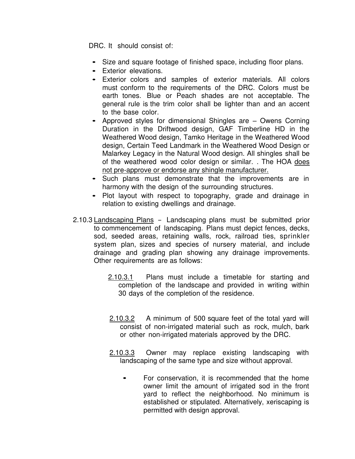DRC. It should consist of:

- Size and square footage of finished space, including floor plans.
- Exterior elevations.
- Exterior colors and samples of exterior materials. All colors must conform to the requirements of the DRC. Colors must be earth tones. Blue or Peach shades are not acceptable. The general rule is the trim color shall be lighter than and an accent to the base color.
- Approved styles for dimensional Shingles are Owens Corning Duration in the Driftwood design, GAF Timberline HD in the Weathered Wood design, Tamko Heritage in the Weathered Wood design, Certain Teed Landmark in the Weathered Wood Design or Malarkey Legacy in the Natural Wood design. All shingles shall be of the weathered wood color design or similar. . The HOA does not pre-approve or endorse any shingle manufacturer.
- Such plans must demonstrate that the improvements are in harmony with the design of the surrounding structures.
- Plot layout with respect to topography, grade and drainage in relation to existing dwellings and drainage.
- 2.10.3 Landscaping Plans Landscaping plans must be submitted prior to commencement of landscaping. Plans must depict fences, decks, sod, seeded areas, retaining walls, rock, railroad ties, sprinkler system plan, sizes and species of nursery material, and include drainage and grading plan showing any drainage improvements. Other requirements are as follows:
	- 2.10.3.1 Plans must include a timetable for starting and completion of the landscape and provided in writing within 30 days of the completion of the residence.
	- 2.10.3.2 A minimum of 500 square feet of the total yard will consist of non-irrigated material such as rock, mulch, bark or other non-irrigated materials approved by the DRC.
	- 2.10.3.3 Owner may replace existing landscaping with landscaping of the same type and size without approval.
		- For conservation, it is recommended that the home owner limit the amount of irrigated sod in the front yard to reflect the neighborhood. No minimum is established or stipulated. Alternatively, xeriscaping is permitted with design approval.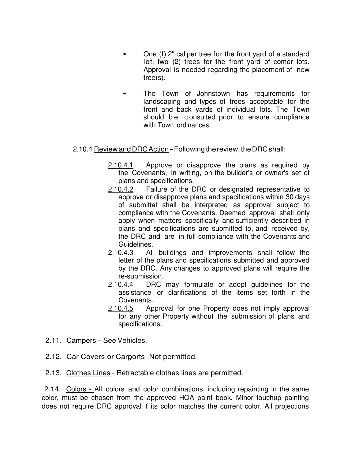- One (I) 2" caliper tree for the front yard of a standard lot, two (2) trees for the front yard of comer lots. Approval is needed regarding the placement of new tree(s).
- The Town of Johnstown has requirements for landscaping and types of trees acceptable for the front and back yards of individual lots. The Town should be consulted prior to ensure compliance with Town ordinances.

#### 2.10.4 Review and DRC Action- Following the review, the DRC shall:

- 2.10.4.1 Approve or disapprove the plans as required by the Covenants, in writing, on the builder's or owner's set of plans and specifications.
- 2.10.4.2 Failure of the DRC or designated representative to approve or disapprove plans and specifications within 30 days of submittal shall be interpreted as approval subject to compliance with the Covenants. Deemed approval shall only apply when matters specifically and sufficiently described in plans and specifications are submitted to, and received by, the DRC and are in full compliance with the Covenants and Guidelines.
- 2.10.4.3 All buildings and improvements shall follow the letter of the plans and specifications submitted and approved by the DRC. Any changes to approved plans will require the re-submission.
- 2.10.4.4 DRC may formulate or adopt guidelines for the assistance or clarifications of the items set forth in the Covenants.
- 2.10.4.5 Approval for one Property does not imply approval for any other Property without the submission of plans and specifications.
- 2.11. Campers See Vehicles.
- 2.12. Car Covers or Carports -Not permitted.
- 2.13. Clothes Lines Retractable clothes lines are permitted.

2.14. Colors - All colors and color combinations, including repainting in the same color, must be chosen from the approved HOA paint book. Minor touchup painting does not require DRC approval if its color matches the current color. All projections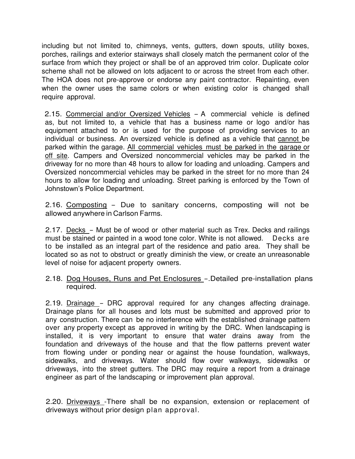including but not limited to, chimneys, vents, gutters, down spouts, utility boxes, porches, railings and exterior stairways shall closely match the permanent color of the surface from which they project or shall be of an approved trim color. Duplicate color scheme shall not be allowed on lots adjacent to or across the street from each other. The HOA does not pre-approve or endorse any paint contractor. Repainting, even when the owner uses the same colors or when existing color is changed shall require approval.

2.15. Commercial and/or Oversized Vehicles - A commercial vehicle is defined as, but not limited to, a vehicle that has a business name or logo and/or has equipment attached to or is used for the purpose of providing services to an individual or business. An oversized vehicle is defined as a vehicle that cannot be parked within the garage. All commercial vehicles must be parked in the garage or off site. Campers and Oversized noncommercial vehicles may be parked in the driveway for no more than 48 hours to allow for loading and unloading. Campers and Oversized noncommercial vehicles may be parked in the street for no more than 24 hours to allow for loading and unloading. Street parking is enforced by the Town of Johnstown's Police Department.

2.16. Composting - Due to sanitary concerns, composting will not be allowed anywhere in Carlson Farms.

2.17. Decks – Must be of wood or other material such as Trex. Decks and railings must be stained or painted in a wood tone color. White is not allowed. Decks are to be installed as an integral part of the residence and patio area. They shall be located so as not to obstruct or greatly diminish the view, or create an unreasonable level of noise for adjacent property owners.

#### 2.18. Dog Houses, Runs and Pet Enclosures -. Detailed pre-installation plans required.

2.19. Drainage - DRC approval required for any changes affecting drainage. Drainage plans for all houses and lots must be submitted and approved prior to any construction. There can be no interference with the established drainage pattern over any property except as approved in writing by the DRC. When landscaping is installed, it is very important to ensure that water drains away from the foundation and driveways of the house and that the flow patterns prevent water from flowing under or ponding near or against the house foundation, walkways, sidewalks, and driveways. Water should flow over walkways, sidewalks or driveways, into the street gutters. The DRC may require a report from a drainage engineer as part of the landscaping or improvement plan approval.

2.20. Driveways -There shall be no expansion, extension or replacement of driveways without prior design plan approval.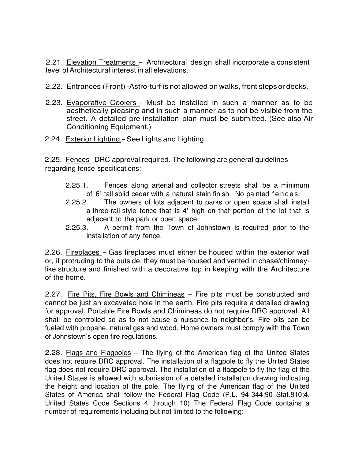2.21. Elevation Treatments - Architectural design shall incorporate a consistent level of Architectural interest in all elevations.

- 2.22. Entrances (Front) -Astro-turf is not allowed on walks, front steps or decks.
- 2.23. Evaporative Coolers Must be installed in such a manner as to be aesthetically pleasing and in such a manner as to not be visible from the street. A detailed pre-installation plan must be submitted. (See also Air Conditioning Equipment.)
- 2.24. Exterior Lighting See Lights and Lighting.

2.25. Fences - DRC approval required. The following are general guidelines regarding fence specifications:

- 2.25.1. Fences along arterial and collector streets shall be a minimum of 6' tall solid cedar with a natural stain finish. No painted fences.
- 2.25.2. The owners of lots adjacent to parks or open space shall install a three-rail style fence that is 4' high on that portion of the lot that is adjacent to the park or open space.
- 2.25.3. A permit from the Town of Johnstown is required prior to the installation of any fence.

2.26. Fireplaces - Gas fireplaces must either be housed within the exterior wall or, if protruding to the outside, they must be housed and vented in chase/chimneylike structure and finished with a decorative top in keeping with the Architecture of the home.

2.27. Fire Pits, Fire Bowls and Chimineas – Fire pits must be constructed and cannot be just an excavated hole in the earth. Fire pits require a detailed drawing for approval. Portable Fire Bowls and Chimineas do not require DRC approval. All shall be controlled so as to not cause a nuisance to neighbor's. Fire pits can be fueled with propane, natural gas and wood. Home owners must comply with the Town of Johnstown's open fire regulations.

2.28. Flags and Flagpoles - The flying of the American flag of the United States does not require DRC approval. The installation of a flagpole to fly the United States flag does not require DRC approval. The installation of a flagpole to fly the flag of the United States is allowed with submission of a detailed installation drawing indicating the height and location of the pole. The flying of the American flag of the United States of America shall follow the Federal Flag Code (P.L. 94-344;90 Stat.810;4. United States Code Sections 4 through 10) The Federal Flag Code contains a number of requirements including but not limited to the following: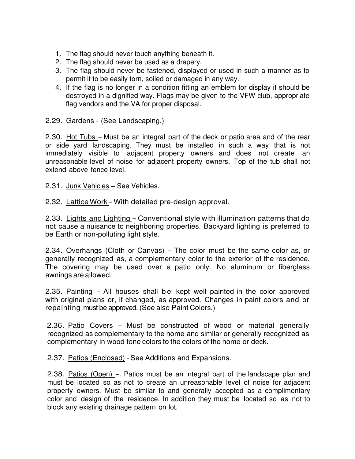- 1. The flag should never touch anything beneath it.
- 2. The flag should never be used as a drapery.
- 3. The flag should never be fastened, displayed or used in such a manner as to permit it to be easily torn, soiled or damaged in any way.
- 4. If the flag is no longer in a condition fitting an emblem for display it should be destroyed in a dignified way. Flags may be given to the VFW club, appropriate flag vendors and the VA for proper disposal.
- 2.29. Gardens (See Landscaping.)

2.30. Hot Tubs - Must be an integral part of the deck or patio area and of the rear or side yard landscaping. They must be installed in such a way that is not immediately visible to adjacent property owners and does not create an unreasonable level of noise for adjacent property owners. Top of the tub shall not extend above fence level.

- 2.31. Junk Vehicles See Vehicles.
- 2.32. Lattice Work With detailed pre-design approval.

2.33. Lights and Lighting - Conventional style with illumination patterns that do not cause a nuisance to neighboring properties. Backyard lighting is preferred to be Earth or non-polluting light style.

2.34. Overhangs (Cloth or Canvas) - The color must be the same color as, or generally recognized as, a complementary color to the exterior of the residence. The covering may be used over a patio only. No aluminum or fiberglass awnings are allowed.

2.35. Painting - All houses shall be kept well painted in the color approved with original plans or, if changed, as approved. Changes in paint colors and or repainting must be approved. (See also Paint Colors.)

2.36. Patio Covers - Must be constructed of wood or material generally recognized as complementary to the home and similar or generally recognized as complementary in wood tone colors to the colors of the home or deck.

2.37. Patios (Enclosed) - See Additions and Expansions.

2.38. Patios (Open) -. Patios must be an integral part of the landscape plan and must be located so as not to create an unreasonable level of noise for adjacent property owners. Must be similar to and generally accepted as a complimentary color and design of the residence. In addition they must be located so as not to block any existing drainage pattern on lot.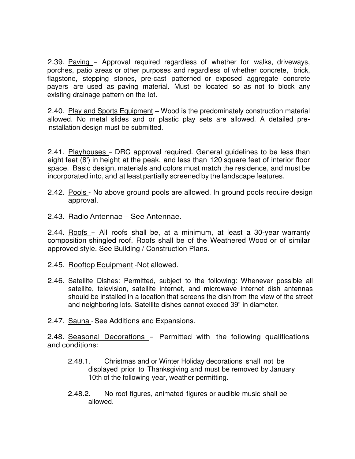2.39. Paving - Approval required regardless of whether for walks, driveways, porches, patio areas or other purposes and regardless of whether concrete, brick, flagstone, stepping stones, pre-cast patterned or exposed aggregate concrete payers are used as paving material. Must be located so as not to block any existing drainage pattern on the lot.

2.40. Play and Sports Equipment – Wood is the predominately construction material allowed. No metal slides and or plastic play sets are allowed. A detailed preinstallation design must be submitted.

2.41. Playhouses - DRC approval required. General guidelines to be less than eight feet (8') in height at the peak, and less than 120 square feet of interior floor space. Basic design, materials and colors must match the residence, and must be incorporated into, and at least partially screened by the landscape features.

- 2.42. Pools No above ground pools are allowed. In ground pools require design approval.
- 2.43. Radio Antennae See Antennae.

2.44. Roofs - All roofs shall be, at a minimum, at least a 30-year warranty composition shingled roof. Roofs shall be of the Weathered Wood or of similar approved style. See Building / Construction Plans.

- 2.45. Rooftop Equipment -Not allowed.
- 2.46. Satellite Dishes: Permitted, subject to the following: Whenever possible all satellite, television, satellite internet, and microwave internet dish antennas should be installed in a location that screens the dish from the view of the street and neighboring lots. Satellite dishes cannot exceed 39" in diameter.
- 2.47. Sauna See Additions and Expansions.

2.48. Seasonal Decorations - Permitted with the following qualifications and conditions:

- 2.48.1. Christmas and or Winter Holiday decorations shall not be displayed prior to Thanksgiving and must be removed by January 10th of the following year, weather permitting.
- 2.48.2. No roof figures, animated figures or audible music shall be allowed.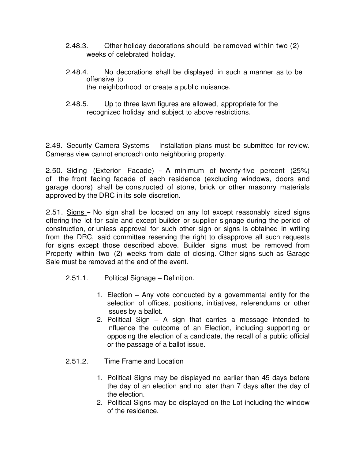- 2.48.3. Other holiday decorations should be removed within two (2) weeks of celebrated holiday.
- 2.48.4. No decorations shall be displayed in such a manner as to be offensive to the neighborhood or create a public nuisance.
- 2.48.5. Up to three lawn figures are allowed, appropriate for the recognized holiday and subject to above restrictions.

2.49. Security Camera Systems – Installation plans must be submitted for review. Cameras view cannot encroach onto neighboring property.

2.50. Siding (Exterior Facade) - A minimum of twenty-five percent (25%) of the front facing facade of each residence (excluding windows, doors and garage doors) shall be constructed of stone, brick or other masonry materials approved by the DRC in its sole discretion.

2.51. Signs - No sign shall be located on any lot except reasonably sized signs offering the lot for sale and except builder or supplier signage during the period of construction, or unless approval for such other sign or signs is obtained in writing from the DRC, said committee reserving the right to disapprove all such requests for signs except those described above. Builder signs must be removed from Property within two (2) weeks from date of closing. Other signs such as Garage Sale must be removed at the end of the event.

- 2.51.1. Political Signage Definition.
	- 1. Election Any vote conducted by a governmental entity for the selection of offices, positions, initiatives, referendums or other issues by a ballot.
	- 2. Political Sign A sign that carries a message intended to influence the outcome of an Election, including supporting or opposing the election of a candidate, the recall of a public official or the passage of a ballot issue.
- 2.51.2. Time Frame and Location
	- 1. Political Signs may be displayed no earlier than 45 days before the day of an election and no later than 7 days after the day of the election.
	- 2. Political Signs may be displayed on the Lot including the window of the residence.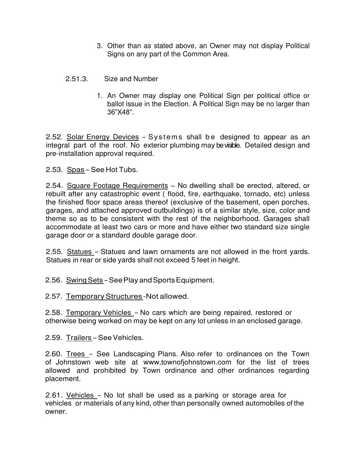- 3. Other than as stated above, an Owner may not display Political Signs on any part of the Common Area.
- 2.51.3. Size and Number
	- 1. An Owner may display one Political Sign per political office or ballot issue in the Election. A Political Sign may be no larger than 36"X48".

2.52. Solar Energy Devices - Systems shall be designed to appear as an integral part of the roof. No exterior plumbing may be visible. Detailed design and pre-installation approval required.

2.53. Spas - See Hot Tubs.

2.54. Square Footage Requirements - No dwelling shall be erected, altered, or rebuilt after any catastrophic event ( flood, fire, earthquake, tornado, etc) unless the finished floor space areas thereof (exclusive of the basement, open porches, garages, and attached approved outbuildings) is of a similar style, size, color and theme so as to be consistent with the rest of the neighborhood. Garages shall accommodate at least two cars or more and have either two standard size single garage door or a standard double garage door.

2.55. Statues - Statues and lawn ornaments are not allowed in the front yards. Statues in rear or side yards shall not exceed 5 feet in height.

2.56. Swing Sets - See Play and Sports Equipment.

2.57. Temporary Structures -Not allowed.

2.58. Temporary Vehicles - No cars which are being repaired, restored or otherwise being worked on may be kept on any lot unless in an enclosed garage.

2.59. Trailers - See Vehicles.

2.60. Trees - See Landscaping Plans. Also refer to ordinances on the Town of Johnstown web site at [www.townofjohnstown.com](http://www.townofjohnstown.com/) for the list of trees allowed and prohibited by Town ordinance and other ordinances regarding placement.

2.61. Vehicles - No lot shall be used as a parking or storage area for vehicles or materials of any kind, other than personally owned automobiles of the owner.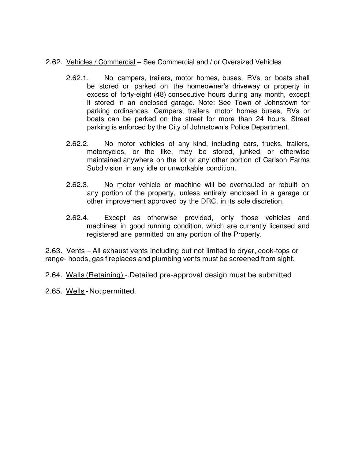#### 2.62. Vehicles / Commercial – See Commercial and / or Oversized Vehicles

- 2.62.1. No campers, trailers, motor homes, buses, RVs or boats shall be stored or parked on the homeowner's driveway or property in excess of forty-eight (48) consecutive hours during any month, except if stored in an enclosed garage. Note: See Town of Johnstown for parking ordinances. Campers, trailers, motor homes buses, RVs or boats can be parked on the street for more than 24 hours. Street parking is enforced by the City of Johnstown's Police Department.
- 2.62.2. No motor vehicles of any kind, including cars, trucks, trailers, motorcycles, or the like, may be stored, junked, or otherwise maintained anywhere on the lot or any other portion of Carlson Farms Subdivision in any idle or unworkable condition.
- 2.62.3. No motor vehicle or machine will be overhauled or rebuilt on any portion of the property, unless entirely enclosed in a garage or other improvement approved by the DRC, in its sole discretion.
- 2.62.4. Except as otherwise provided, only those vehicles and machines in good running condition, which are currently licensed and registered are permitted on any portion of the Property.

2.63. Vents - All exhaust vents including but not limited to dryer, cook-tops or range- hoods, gas fireplaces and plumbing vents must be screened from sight.

2.64. Walls (Retaining) -.Detailed pre-approval design must be submitted

2.65. Wells - Not permitted.